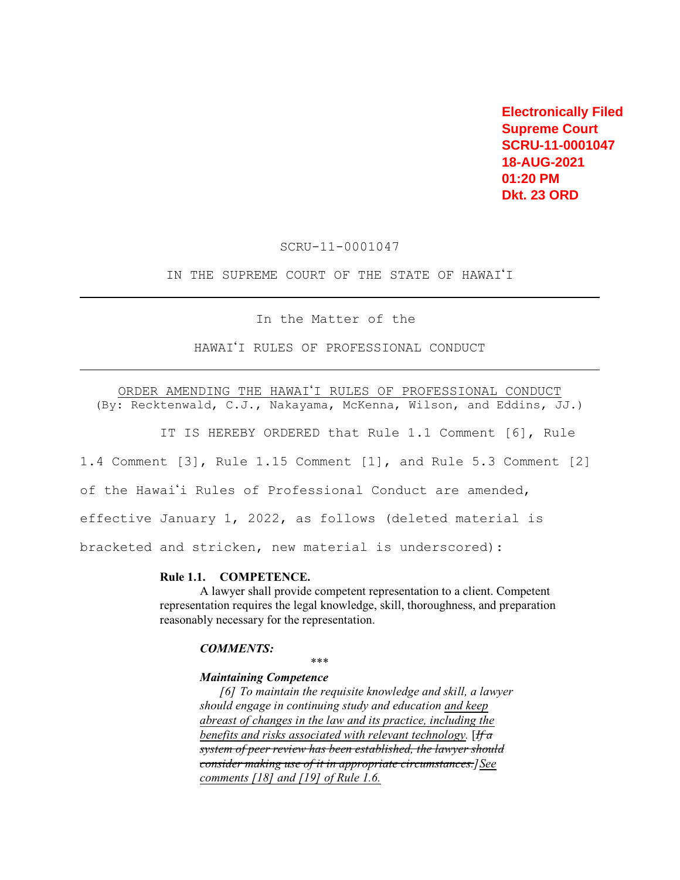**Electronically Filed Supreme Court SCRU-11-0001047 18-AUG-2021 01:20 PM Dkt. 23 ORD** 

SCRU-11-0001047

IN THE SUPREME COURT OF THE STATE OF HAWAI'I

In the Matter of the

HAWAI'I RULES OF PROFESSIONAL CONDUCT

ORDER AMENDING THE HAWAI'I RULES OF PROFESSIONAL CONDUCT

(By: Recktenwald, C.J., Nakayama, McKenna, Wilson, and Eddins, JJ.)

IT IS HEREBY ORDERED that Rule 1.1 Comment [6], Rule

1.4 Comment [3], Rule 1.15 Comment [1], and Rule 5.3 Comment [2 ]

of the Hawai'i Rules of Professional Conduct are amended,

effective January 1, 2022, as follows (deleted material is

bracketed and stricken, new material is underscored):

## **Rule 1.1. COMPETENCE.**

A lawyer shall provide competent representation to a client. Competent representation requires the legal knowledge, skill, thoroughness, and preparation reasonably necessary for the representation.

#### *COMMENTS:*

\*\*\*

#### *Maintaining Competence*

*[6] To maintain the requisite knowledge and skill, a lawyer should engage in continuing study and education and keep abreast of changes in the law and its practice, including the benefits and risks associated with relevant technology.* [*If a system of peer review has been established, the lawyer should consider making use of it in appropriate circumstances.]See comments [18] and [19] of Rule 1.6.*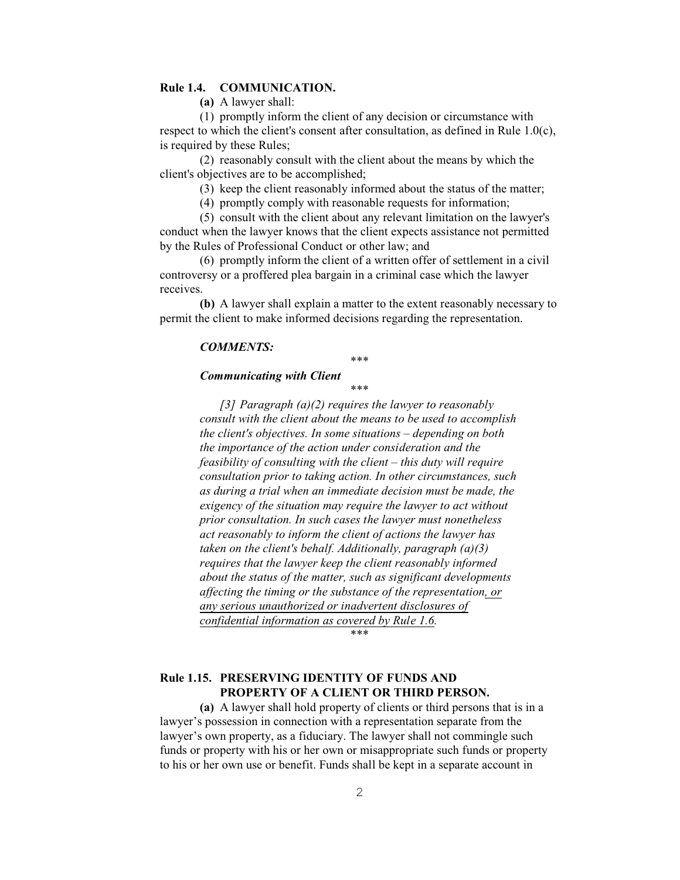## **Rule 1.4. COMMUNICATION.**

**(a)** A lawyer shall:

(1) promptly inform the client of any decision or circumstance with respect to which the client's consent after consultation, as defined in Rule 1. 0(c), is required by these Rules;

(2) reasonably consult with the client about the means by which the client's objectives are to be accomplished;

(3) keep the client reasonably informed about the status of the matter;

(4) promptly comply with reasonable requests for information;

(5) consult with the client about any relevant limitation on the lawyer's conduct when the lawyer knows that the client expects assistance not permitted by the Rules of Professional Conduct or other law; and

(6) promptly inform the client of a written offer of settlement in a civil controversy or a proffered plea bargain in a criminal case which the lawyer receives.

**(b)** A lawyer shall explain a matter to the extent reasonably necessary to permit the client to make informed decisions regarding the representation.

## *COMMENTS:*

\*\*\*

### *Communicating with Client*

\*\*\*

*[3] Paragraph (a)(2) requires the lawyer to reasonably consult with the client about the means to be used to accomplish the client's objectives. In some situations – depending on both the importance of the action under consideration and the feasibility of consulting with the client – this duty will require consultation prior to taking action. In other circumstances, such as during a trial when an immediate decision must be made, the exigency of the situation may require the lawyer to act without prior consultation. In such cases the lawyer must nonetheless act reasonably to inform the client of actions the lawyer has taken on the client's behalf. Additionally, paragraph (a)(3) requires that the lawyer keep the client reasonably informed about the status of the matter, such as significant developments affecting the timing or the substance of the representation, or any serious unauthorized or inadvertent disclosures of confidential information as covered by Rule 1.6.* 

\*\*\*

# **Rule 1.15. PRESERVING IDENTITY OF FUNDS AND PROPERTY OF A CLIENT OR THIRD PERSON.**

**(a)** A lawyer shall hold property of clients or third persons that is in a lawyer's possession in connection with a representation separate from the lawyer's own property, as a fiduciary. The lawyer shall not commingle such funds or property with his or her own or misappropriate such funds or property to his or her own use or benefit. Funds shall be kept in a separate account in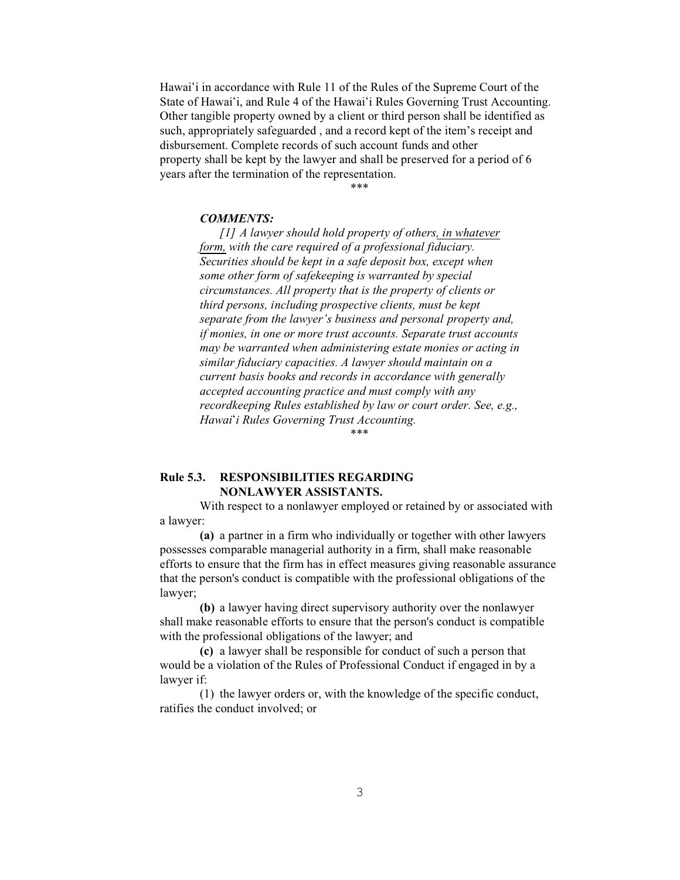Hawai'i in accordance with Rule 11 of the Rules of the Supreme Court of the State of Hawai'i, and Rule 4 of the Hawai'i Rules Governing Trust Accounting. Other tangible property owned by a client or third person shall be identified as such, appropriately safeguarded , and a record kept of the item's receipt and disbursement. Complete records of such account funds and other property shall be kept by the lawyer and shall be preserved for a period of 6 years after the termination of the representation.

\*\*\*

### *COMMENTS:*

*[1] A lawyer should hold property of others, in whatever form, with the care required of a professional fiduciary. Securities should be kept in a safe deposit box, except when some other form of safekeeping is warranted by special circumstances. All property that is the property of clients or third persons, including prospective clients, must be kept separate from the lawyer's business and personal property and, if monies, in one or more trust accounts. Separate trust accounts may be warranted when administering estate monies or acting in similar fiduciary capacities. A lawyer should maintain on a current basis books and records in accordance with generally accepted accounting practice and must comply with any recordkeeping Rules established by law or court order. See, e.g., Hawai#i Rules Governing Trust Accounting.* 

\*\*\*

## **Rule 5.3. RESPONSIBILITIES REGARDING NONLAWYER ASSISTANTS.**

With respect to a nonlawyer employed or retained by or associated with a lawyer:

**(a)** a partner in a firm who individually or together with other lawyers possesses comparable managerial authority in a firm, shall make reasonable efforts to ensure that the firm has in effect measures giving reasonable assurance that the person's conduct is compatible with the professional obligations of the lawyer;

**(b)** a lawyer having direct supervisory authority over the nonlawyer shall make reasonable efforts to ensure that the person's conduct is compatible with the professional obligations of the lawyer; and

**(c)** a lawyer shall be responsible for conduct of such a person that would be a violation of the Rules of Professional Conduct if engaged in by a lawyer if:

(1) the lawyer orders or, with the knowledge of the specific conduct, ratifies the conduct involved; or